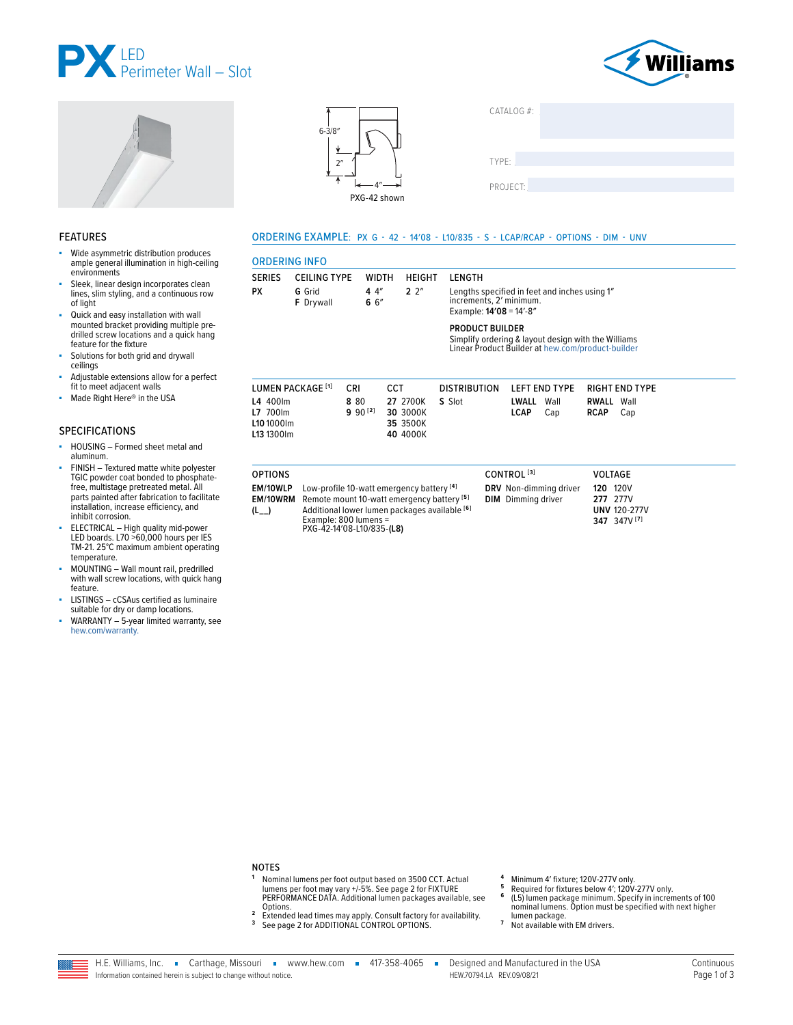







| CATALOG #: |  |  |
|------------|--|--|
| TYPE:      |  |  |
| PROJECT:   |  |  |

### **FEATURES**

- Wide asymmetric distribution produces ä ample general illumination in high-ceiling environments
- Sleek, linear design incorporates clean lines, slim styling, and a continuous row of light
- Quick and easy installation with wall mounted bracket providing multiple predrilled screw locations and a quick hang feature for the fixture
- Solutions for both grid and drywall ceilings
- Adjustable extensions allow for a perfect Î. fit to meet adjacent walls
- Made Right Here® in the USA ä,

### **SPECIFICATIONS**

- HOUSING Formed sheet metal and à. aluminum.
- FINISH Textured matte white polyester TGIC powder coat bonded to phosphatefree, multistage pretreated metal. All<br>parts painted after fabrication to facilitate installation, increase efficiency, and inhibit corrosion.
- ELECTRICAL High quality mid-power<br>LED boards. L70 >60,000 hours per IES TM-21. 25°C maximum ambient operating temperature.
- MOUNTING Wall mount rail, predrilled with wall screw locations, with quick hang feature.
- LISTINGS cCSAus certified as luminaire<br>suitable for dry or damp locations.
- WARRANTY 5-year limited warranty, see hew.com/warranty.

## ORDERING EXAMPLE: PX G - 42 - 14'08 - L10/835 - S - LCAP/RCAP - OPTIONS - DIM - UNV

| <b>SERIES</b>                      | <b>CEILING TYPE</b>          | <b>WIDTH</b>         | <b>HEIGHT</b>                                | LENGTH                                             |                                                                                                          |                                            |
|------------------------------------|------------------------------|----------------------|----------------------------------------------|----------------------------------------------------|----------------------------------------------------------------------------------------------------------|--------------------------------------------|
| <b>PX</b>                          | G Grid<br><b>F</b> Drywall   | 44''<br>66''         | $2^{2}$                                      | increments, 2' minimum.<br>Example: 14'08 = 14'-8" | Lengths specified in feet and inches using 1"                                                            |                                            |
|                                    |                              |                      |                                              | <b>PRODUCT BUILDER</b>                             | Simplify ordering & layout design with the Williams<br>Linear Product Builder at hew.com/product-builder |                                            |
|                                    | LUMEN PACKAGE <sup>[1]</sup> | <b>CRI</b>           | <b>CCT</b>                                   | <b>DISTRIBUTION</b>                                | <b>LEFT END TYPE</b>                                                                                     | <b>RIGHT END TYPE</b>                      |
| L4 400lm<br>L7 700lm<br>L10 1000lm | L13 1300 lm                  | 8 80<br>$9.90^{[2]}$ | 27 2700K<br>30 3000K<br>35 3500K<br>40 4000K | S Slot                                             | LWALL<br>Wall<br>LCAP<br>Cap                                                                             | <b>RWALL</b><br>Wall<br><b>RCAP</b><br>Cap |

| <b>UF IIUNJ</b> |                                                            | <b>CUNINUL</b>            | <b>VULIAUL</b>      |
|-----------------|------------------------------------------------------------|---------------------------|---------------------|
| <b>EM/10WLP</b> | Low-profile 10-watt emergency battery [4]                  | DRV Non-dimming driver    | 120V<br>120         |
|                 | <b>EM/10WRM</b> Remote mount 10-watt emergency battery [5] | <b>DIM</b> Dimming driver | <b>277</b> 277V     |
| $(L_{-})$       | Additional lower lumen packages available [6]              |                           | <b>UNV 120-277V</b> |
|                 | Example: $800$ lumens =<br>PXG-42-14'08-L10/835-(L8)       |                           | 347 347V [7]        |
|                 |                                                            |                           |                     |

### **NOTES**

- 1 Nominal lumens per foot output based on 3500 CCT. Actual<br>lumens per foot may vary +/-5%. See page 2 for FIXTURE<br>PERFORMANCE DATA. Additional lumen packages available, see Options.
- 2 Extended lead times may apply. Consult factory for availability.<br><sup>3</sup> See page 2 for ADDITIONAL CONTROL OPTIONS.
- 
- $\overline{4}$ Minimum 4' fixture; 120V-277V only.  $\overline{5}$
- minimum + instance, i.e.v.+2.17 v.miy.<br>Required for fixtures below 4'; 120V-277V only.<br>(L5) lumen package minimum. Specify in increments of 100<br>nominal lumens. Option must be specified with next higher  $\bf 6$ lumen package.
- $\overline{7}$ Not available with EM drivers.

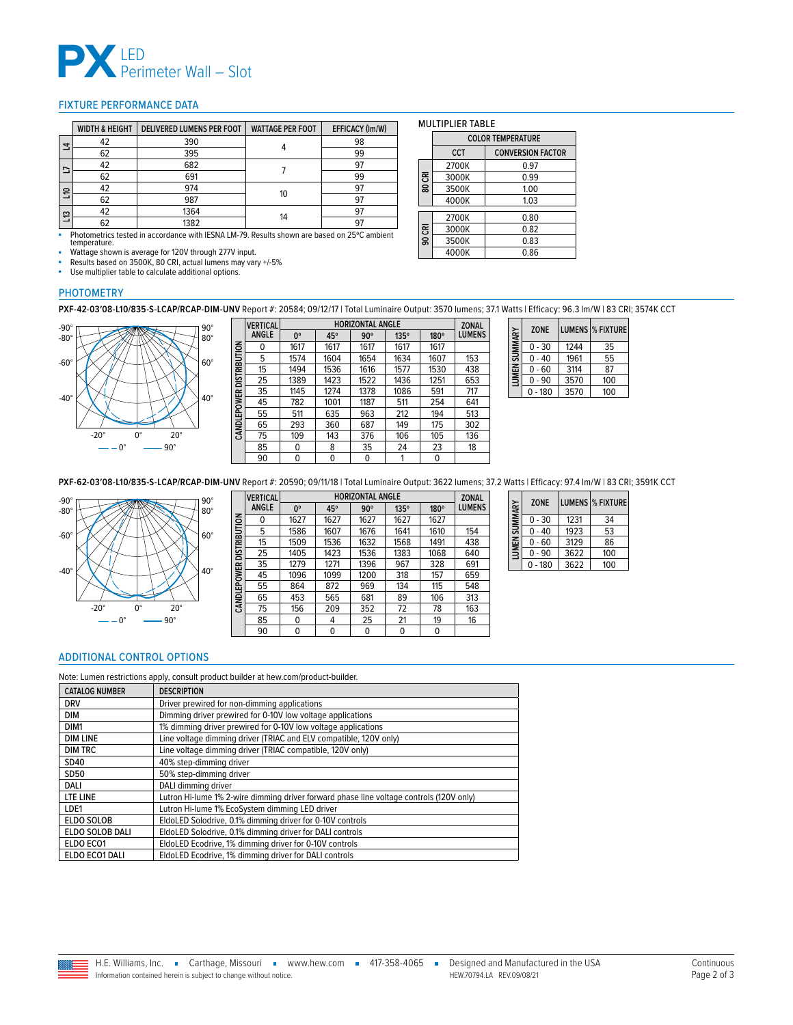

### <span id="page-1-0"></span>FIXTURE PERFORMANCE DATA

|                | <b>WIDTH &amp; HEIGHT</b> | <b>DELIVERED LUMENS PER FOOT</b> | <b>WATTAGE PER FOOT</b> | EFFICACY (Im/W) |
|----------------|---------------------------|----------------------------------|-------------------------|-----------------|
| ᅼ              | 42                        | 390                              |                         | 98              |
|                | 62                        | 395                              |                         | 99              |
| □              | 42                        | 682                              |                         | 97              |
|                | 62                        | 691                              |                         | 99              |
| $\overline{5}$ | 42                        | 974                              |                         | 97              |
|                | 62                        | 987                              | 10                      | 97              |
| ្អ             | 42                        | 1364                             |                         | 97              |
|                | 62                        | 1382                             | 14                      | 97              |

■ Photometrics tested in accordance with IESNA LM-79. Results shown are based on 25ºC ambient temperature. Wattage shown is average for 120V through 277V input.

■ Results based on 3500K, 80 CRI, actual lumens may vary +/-5%<br>■ Lise multiplier table to calculate additional options Use multiplier table to calculate additional options.

# **COLOR TEMPERATURE**

MULTIPLIER TABLE

|        | CCT   | <b>CONVERSION FACTOR</b> |
|--------|-------|--------------------------|
|        | 2700K | 0.97                     |
| 80 CRI | 3000K | 0.99                     |
|        | 3500K | 1.00                     |
|        | 4000K | 1.03                     |
|        |       |                          |
|        | 2700K | 0.80                     |
|        | 3000K | 0.82                     |
| 90 CRI | 3500K | 0.83                     |
|        | 4000K | 0.86                     |

### PHOTOMETRY

**PXF-42-03′08-L10/835-S-LCAP/RCAP-DIM-UNV** Report #: 20584; 09/12/17 | Total Luminaire Output: 3570 lumens; 37.1 Watts | Efficacy: 96.3 lm/W | 83 CRI; 3574K CCT



|                     | <b>VERTICAL</b> |             | <b>ZONAL</b> |            |             |      |               |
|---------------------|-----------------|-------------|--------------|------------|-------------|------|---------------|
|                     | <b>ANGLE</b>    | $0^{\circ}$ | 45°          | $90^\circ$ | $135^\circ$ | 180° | <b>LUMENS</b> |
| <b>DISTRIBUTION</b> | 0               | 1617        | 1617         | 1617       | 1617        | 1617 |               |
|                     | 5               | 1574        | 1604         | 1654       | 1634        | 1607 | 153           |
|                     | 15              | 1494        | 1536         | 1616       | 1577        | 1530 | 438           |
|                     | 25              | 1389        | 1423         | 1522       | 1436        | 1251 | 653           |
|                     | 35              | 1145        | 1274         | 1378       | 1086        | 591  | 717           |
|                     | 45              | 782         | 1001         | 1187       | 511         | 254  | 641           |
|                     | 55              | 511         | 635          | 963        | 212         | 194  | 513           |
| CANDLEPOWER         | 65              | 293         | 360          | 687        | 149         | 175  | 302           |
|                     | 75              | 109         | 143          | 376        | 106         | 105  | 136           |
|                     | 85              | 0           | 8            | 35         | 24          | 23   | 18            |
|                     | 90              | 0           | $\Omega$     | 0          | 1           | 0    |               |

| SUMMARY | <b>ZONE</b> |      | <b>LUMENS  % FIXTURE</b> |
|---------|-------------|------|--------------------------|
|         | $0 - 30$    | 1244 | 35                       |
|         | $0 - 40$    | 1961 | 55                       |
| LUMEN:  | $0 - 60$    | 3114 | 87                       |
|         | $-90$<br>0  | 3570 | 100                      |
|         | $0 - 180$   | 3570 | 100                      |

**PXF-62-03′08-L10/835-S-LCAP/RCAP-DIM-UNV** Report #: 20590; 09/11/18 | Total Luminaire Output: 3622 lumens; 37.2 Watts | Efficacy: 97.4 lm/W | 83 CRI; 3591K CCT



|                          | <b>VERTICAL</b> | <b>HORIZONTAL ANGLE</b> |          |            |      |             | <b>ZONAL</b>  |
|--------------------------|-----------------|-------------------------|----------|------------|------|-------------|---------------|
|                          | ANGLE           | $0^{\circ}$             | 45°      | $90^\circ$ | 135° | $180^\circ$ | <b>LUMENS</b> |
| CANDLEPOWER DISTRIBUTION | 0               | 1627                    | 1627     | 1627       | 1627 | 1627        |               |
|                          | 5               | 1586                    | 1607     | 1676       | 1641 | 1610        | 154           |
|                          | 15              | 1509                    | 1536     | 1632       | 1568 | 1491        | 438           |
|                          | 25              | 1405                    | 1423     | 1536       | 1383 | 1068        | 640           |
|                          | 35              | 1279                    | 1271     | 1396       | 967  | 328         | 691           |
|                          | 45              | 1096                    | 1099     | 1200       | 318  | 157         | 659           |
|                          | 55              | 864                     | 872      | 969        | 134  | 115         | 548           |
|                          | 65              | 453                     | 565      | 681        | 89   | 106         | 313           |
|                          | 75              | 156                     | 209      | 352        | 72   | 78          | 163           |
|                          | 85              | 0                       | 4        | 25         | 21   | 19          | 16            |
|                          | 90              | $\Omega$                | $\Omega$ | 0          | 0    | 0           |               |

| LUMEN SUMMARY | <b>ZONE</b> |      | LUMENS  % FIXTURE |
|---------------|-------------|------|-------------------|
|               | $0 - 30$    | 1231 | 34                |
|               | $0 - 40$    | 1923 | 53                |
|               | $0 - 60$    | 3129 | 86                |
|               | $0 - 90$    | 3622 | 100               |
|               | $0 - 180$   | 3622 | 100               |

### <span id="page-1-1"></span>ADDITIONAL CONTROL OPTIONS

Note: Lumen restrictions apply, consult product builder at hew.com/product-builder.

| <b>CATALOG NUMBER</b> | <b>DESCRIPTION</b>                                                                      |
|-----------------------|-----------------------------------------------------------------------------------------|
| <b>DRV</b>            | Driver prewired for non-dimming applications                                            |
| <b>DIM</b>            | Dimming driver prewired for 0-10V low voltage applications                              |
| DIM <sub>1</sub>      | 1% dimming driver prewired for 0-10V low voltage applications                           |
| <b>DIM LINE</b>       | Line voltage dimming driver (TRIAC and ELV compatible, 120V only)                       |
| <b>DIM TRC</b>        | Line voltage dimming driver (TRIAC compatible, 120V only)                               |
| SD40                  | 40% step-dimming driver                                                                 |
| SD50                  | 50% step-dimming driver                                                                 |
| DALI                  | DALI dimming driver                                                                     |
| LTE LINE              | Lutron Hi-lume 1% 2-wire dimming driver forward phase line voltage controls (120V only) |
| LDE1                  | Lutron Hi-lume 1% EcoSystem dimming LED driver                                          |
| <b>ELDO SOLOB</b>     | EldoLED Solodrive, 0.1% dimming driver for 0-10V controls                               |
| ELDO SOLOB DALI       | EldoLED Solodrive, 0.1% dimming driver for DALI controls                                |
| ELDO ECO1             | EldoLED Ecodrive, 1% dimming driver for 0-10V controls                                  |
| ELDO ECO1 DALI        | EldoLED Ecodrive, 1% dimming driver for DALI controls                                   |